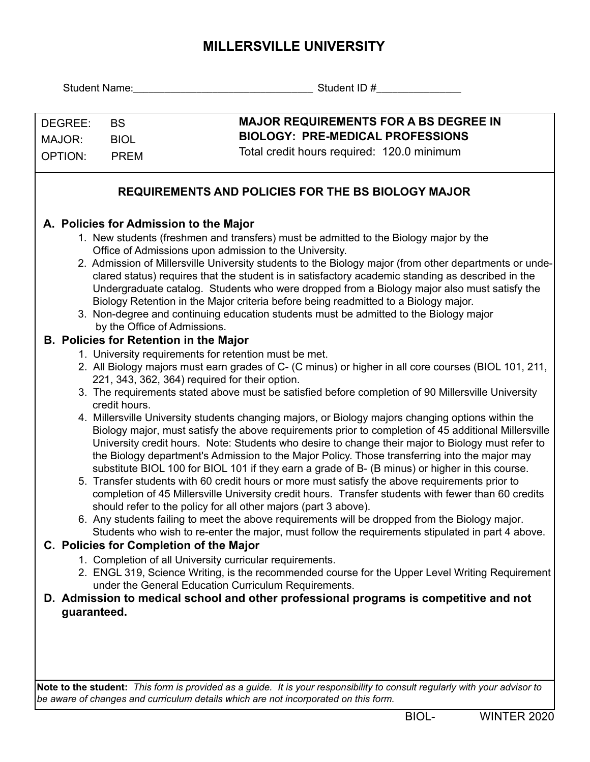## **MILLERSVILLE UNIVERSITY**

|                                                           |                                                                                                                                                                                                  | Student ID # 2000                                                                                                                                                                                          |  |  |  |  |  |  |  |  |  |
|-----------------------------------------------------------|--------------------------------------------------------------------------------------------------------------------------------------------------------------------------------------------------|------------------------------------------------------------------------------------------------------------------------------------------------------------------------------------------------------------|--|--|--|--|--|--|--|--|--|
|                                                           |                                                                                                                                                                                                  |                                                                                                                                                                                                            |  |  |  |  |  |  |  |  |  |
| DEGREE:<br><b>BS</b>                                      |                                                                                                                                                                                                  | <b>MAJOR REQUIREMENTS FOR A BS DEGREE IN</b>                                                                                                                                                               |  |  |  |  |  |  |  |  |  |
| <b>BIOL</b><br>MAJOR:                                     |                                                                                                                                                                                                  | <b>BIOLOGY: PRE-MEDICAL PROFESSIONS</b>                                                                                                                                                                    |  |  |  |  |  |  |  |  |  |
| <b>OPTION:</b>                                            | <b>PREM</b>                                                                                                                                                                                      | Total credit hours required: 120.0 minimum                                                                                                                                                                 |  |  |  |  |  |  |  |  |  |
|                                                           |                                                                                                                                                                                                  |                                                                                                                                                                                                            |  |  |  |  |  |  |  |  |  |
| <b>REQUIREMENTS AND POLICIES FOR THE BS BIOLOGY MAJOR</b> |                                                                                                                                                                                                  |                                                                                                                                                                                                            |  |  |  |  |  |  |  |  |  |
|                                                           |                                                                                                                                                                                                  | A. Policies for Admission to the Major                                                                                                                                                                     |  |  |  |  |  |  |  |  |  |
|                                                           |                                                                                                                                                                                                  | 1. New students (freshmen and transfers) must be admitted to the Biology major by the                                                                                                                      |  |  |  |  |  |  |  |  |  |
|                                                           |                                                                                                                                                                                                  | Office of Admissions upon admission to the University.                                                                                                                                                     |  |  |  |  |  |  |  |  |  |
|                                                           | 2. Admission of Millersville University students to the Biology major (from other departments or unde-                                                                                           |                                                                                                                                                                                                            |  |  |  |  |  |  |  |  |  |
|                                                           | clared status) requires that the student is in satisfactory academic standing as described in the<br>Undergraduate catalog. Students who were dropped from a Biology major also must satisfy the |                                                                                                                                                                                                            |  |  |  |  |  |  |  |  |  |
|                                                           |                                                                                                                                                                                                  | Biology Retention in the Major criteria before being readmitted to a Biology major.                                                                                                                        |  |  |  |  |  |  |  |  |  |
|                                                           |                                                                                                                                                                                                  | 3. Non-degree and continuing education students must be admitted to the Biology major                                                                                                                      |  |  |  |  |  |  |  |  |  |
|                                                           |                                                                                                                                                                                                  | by the Office of Admissions.                                                                                                                                                                               |  |  |  |  |  |  |  |  |  |
|                                                           |                                                                                                                                                                                                  | <b>B. Policies for Retention in the Major</b><br>1. University requirements for retention must be met.                                                                                                     |  |  |  |  |  |  |  |  |  |
|                                                           |                                                                                                                                                                                                  | 2. All Biology majors must earn grades of C- (C minus) or higher in all core courses (BIOL 101, 211,                                                                                                       |  |  |  |  |  |  |  |  |  |
|                                                           |                                                                                                                                                                                                  | 221, 343, 362, 364) required for their option.                                                                                                                                                             |  |  |  |  |  |  |  |  |  |
|                                                           |                                                                                                                                                                                                  | 3. The requirements stated above must be satisfied before completion of 90 Millersville University                                                                                                         |  |  |  |  |  |  |  |  |  |
|                                                           | credit hours.                                                                                                                                                                                    |                                                                                                                                                                                                            |  |  |  |  |  |  |  |  |  |
|                                                           |                                                                                                                                                                                                  | 4. Millersville University students changing majors, or Biology majors changing options within the<br>Biology major, must satisfy the above requirements prior to completion of 45 additional Millersville |  |  |  |  |  |  |  |  |  |
|                                                           |                                                                                                                                                                                                  | University credit hours. Note: Students who desire to change their major to Biology must refer to                                                                                                          |  |  |  |  |  |  |  |  |  |
|                                                           |                                                                                                                                                                                                  | the Biology department's Admission to the Major Policy. Those transferring into the major may                                                                                                              |  |  |  |  |  |  |  |  |  |
|                                                           |                                                                                                                                                                                                  | substitute BIOL 100 for BIOL 101 if they earn a grade of B- (B minus) or higher in this course.                                                                                                            |  |  |  |  |  |  |  |  |  |
|                                                           |                                                                                                                                                                                                  | 5. Transfer students with 60 credit hours or more must satisfy the above requirements prior to<br>completion of 45 Millersville University credit hours. Transfer students with fewer than 60 credits      |  |  |  |  |  |  |  |  |  |
|                                                           |                                                                                                                                                                                                  | should refer to the policy for all other majors (part 3 above).                                                                                                                                            |  |  |  |  |  |  |  |  |  |
|                                                           |                                                                                                                                                                                                  | 6. Any students failing to meet the above requirements will be dropped from the Biology major.                                                                                                             |  |  |  |  |  |  |  |  |  |
|                                                           |                                                                                                                                                                                                  | Students who wish to re-enter the major, must follow the requirements stipulated in part 4 above.                                                                                                          |  |  |  |  |  |  |  |  |  |
|                                                           |                                                                                                                                                                                                  | C. Policies for Completion of the Major                                                                                                                                                                    |  |  |  |  |  |  |  |  |  |
|                                                           |                                                                                                                                                                                                  | 1. Completion of all University curricular requirements.                                                                                                                                                   |  |  |  |  |  |  |  |  |  |
|                                                           |                                                                                                                                                                                                  | 2. ENGL 319, Science Writing, is the recommended course for the Upper Level Writing Requirement<br>under the General Education Curriculum Requirements.                                                    |  |  |  |  |  |  |  |  |  |
|                                                           |                                                                                                                                                                                                  | D. Admission to medical school and other professional programs is competitive and not                                                                                                                      |  |  |  |  |  |  |  |  |  |
| guaranteed.                                               |                                                                                                                                                                                                  |                                                                                                                                                                                                            |  |  |  |  |  |  |  |  |  |
|                                                           |                                                                                                                                                                                                  |                                                                                                                                                                                                            |  |  |  |  |  |  |  |  |  |
|                                                           |                                                                                                                                                                                                  |                                                                                                                                                                                                            |  |  |  |  |  |  |  |  |  |
|                                                           |                                                                                                                                                                                                  |                                                                                                                                                                                                            |  |  |  |  |  |  |  |  |  |

**Note to the student:** *This form is provided as a guide. It is your responsibility to consult regularly with your advisor to be aware of changes and curriculum details which are not incorporated on this form.*